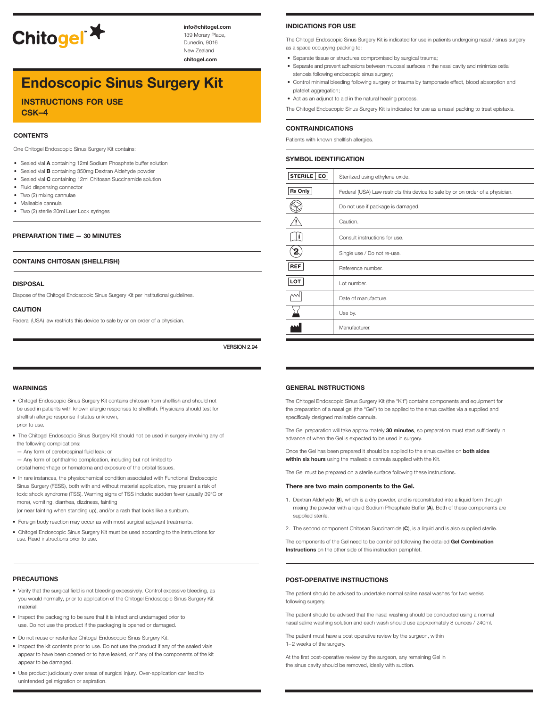

**info@chitogel.com** 139 Morary Place, Dunedin, 9016 New Zealand

**chitogel.com**

# **Endoscopic Sinus Surgery Kit**

**instructions for use csk–4**

#### **CONTENTS**

One Chitogel Endoscopic Sinus Surgery Kit contains:

- Sealed vial **A** containing 12ml Sodium Phosphate buffer solution
- Sealed vial **B** containing 350mg Dextran Aldehyde powder
- Sealed vial **C** containing 12ml Chitosan Succinamide solution
- Fluid dispensing connector
- Two (2) mixing cannulae
- Malleable cannula
- Two (2) sterile 20ml Luer Lock syringes

#### **PREPARATION TIME — 30 MINUTES**

#### **CONTAINS CHITOSAN (SHELLFISH)**

#### **DISPOSAL**

Dispose of the Chitogel Endoscopic Sinus Surgery Kit per institutional guidelines.

#### **CAUTION**

Federal (USA) law restricts this device to sale by or on order of a physician.

VERSION 2.94

#### **WARNINGS**

- Chitogel Endoscopic Sinus Surgery Kit contains chitosan from shellfish and should not be used in patients with known allergic responses to shellfish. Physicians should test for shellfish allergic response if status unknown, prior to use.
- The Chitogel Endoscopic Sinus Surgery Kit should not be used in surgery involving any of
- the following complications: — Any form of cerebrospinal fluid leak; or
- Any form of ophthalmic complication, including but not limited to
- orbital hemorrhage or hematoma and exposure of the orbital tissues.
- In rare instances, the physiochemical condition associated with Functional Endoscopic Sinus Surgery (FESS), both with and without material application, may present a risk of toxic shock syndrome (TSS). Warning signs of TSS include: sudden fever (usually 39°C or more), vomiting, diarrhea, dizziness, fainting

(or near fainting when standing up), and/or a rash that looks like a sunburn.

- Foreign body reaction may occur as with most surgical adjuvant treatments.
- Chitogel Endoscopic Sinus Surgery Kit must be used according to the instructions for use. Read instructions prior to use.

#### **PRECAUTIONS**

- Verify that the surgical field is not bleeding excessively. Control excessive bleeding, as you would normally, prior to application of the Chitogel Endoscopic Sinus Surgery Kit material.
- Inspect the packaging to be sure that it is intact and undamaged prior to use. Do not use the product if the packaging is opened or damaged.
- Do not reuse or resterilize Chitogel Endoscopic Sinus Surgery Kit.
- Inspect the kit contents prior to use. Do not use the product if any of the sealed vials appear to have been opened or to have leaked, or if any of the components of the kit appear to be damaged.
- Use product judiciously over areas of surgical injury. Over-application can lead to unintended gel migration or aspiration.

#### **INDICATIONS FOR USE**

The Chitogel Endoscopic Sinus Surgery Kit is indicated for use in patients undergoing nasal / sinus surgery as a space occupying packing to:

- Separate tissue or structures compromised by surgical trauma;
- Separate and prevent adhesions between mucosal surfaces in the nasal cavity and minimize ostial stenosis following endoscopic sinus surgery;
- Control minimal bleeding following surgery or trauma by tamponade effect, blood absorption and platelet aggregation;
- Act as an adjunct to aid in the natural healing process.

The Chitogel Endoscopic Sinus Surgery Kit is indicated for use as a nasal packing to treat epistaxis.

#### **CONTRAINDICATIONS**

Patients with known shellfish allergies.

#### **SYMBOL IDENTIFICATION**

| STERILE   EO | Sterilized using ethylene oxide.                                               |
|--------------|--------------------------------------------------------------------------------|
| Rx Only      | Federal (USA) Law restricts this device to sale by or on order of a physician. |
|              | Do not use if package is damaged.                                              |
|              | Caution.                                                                       |
|              | Consult instructions for use.                                                  |
|              | Single use / Do not re-use.                                                    |
| <b>REF</b>   | Reference number.                                                              |
| <b>LOT</b>   | Lot number.                                                                    |
| МW           | Date of manufacture.                                                           |
|              | Use by.                                                                        |
|              | Manufacturer.                                                                  |

#### **GENERAL INSTRUCTIONS**

The Chitogel Endoscopic Sinus Surgery Kit (the "Kit") contains components and equipment for the preparation of a nasal gel (the "Gel") to be applied to the sinus cavities via a supplied and specifically designed malleable cannula.

The Gel preparation will take approximately **30 minutes**, so preparation must start sufficiently in advance of when the Gel is expected to be used in surgery.

Once the Gel has been prepared it should be applied to the sinus cavities on **both sides within six hours** using the malleable cannula supplied with the Kit.

The Gel must be prepared on a sterile surface following these instructions.

#### **There are two main components to the Gel.**

- 1. Dextran Aldehyde (**B**), which is a dry powder, and is reconstituted into a liquid form through mixing the powder with a liquid Sodium Phosphate Buffer (**A**). Both of these components are supplied sterile.
- 2. The second component Chitosan Succinamide (**C**), is a liquid and is also supplied sterile.

The components of the Gel need to be combined following the detailed **Gel Combination Instructions** on the other side of this instruction pamphlet.

#### **POST-OPERATIVE INSTRUCTIONS**

The patient should be advised to undertake normal saline nasal washes for two weeks following surgery.

The patient should be advised that the nasal washing should be conducted using a normal nasal saline washing solution and each wash should use approximately 8 ounces / 240ml.

The patient must have a post operative review by the surgeon, within 1–2 weeks of the surgery.

At the first post-operative review by the surgeon, any remaining Gel in the sinus cavity should be removed, ideally with suction.